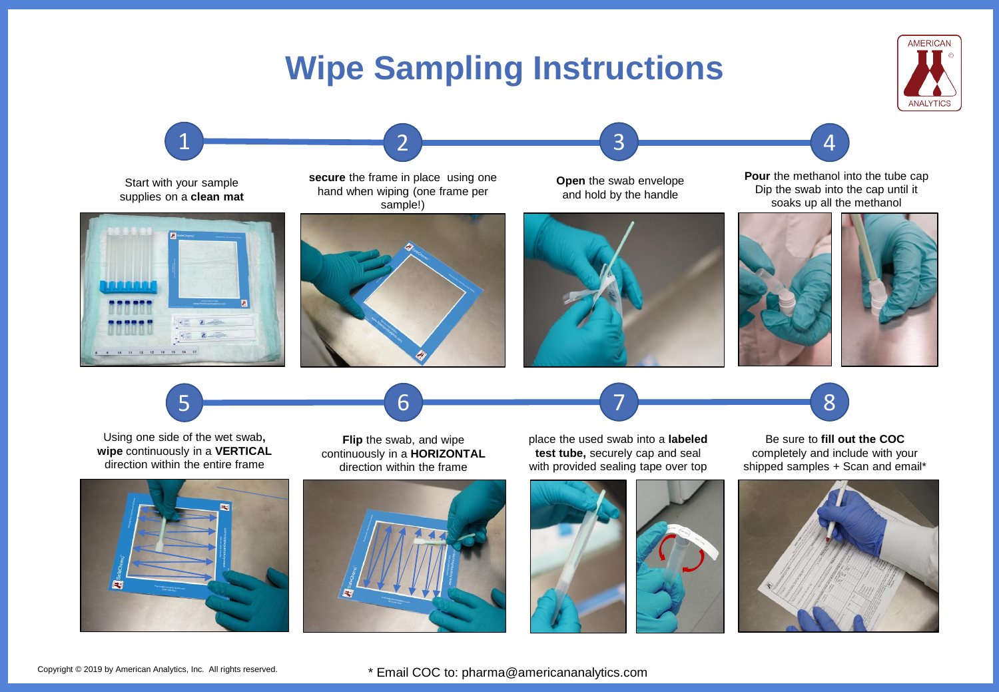## **Wipe Sampling Instructions**





Copyright © 2019 by American Analytics, Inc. All rights reserved.

\* Email COC to: pharma@americananalytics.com